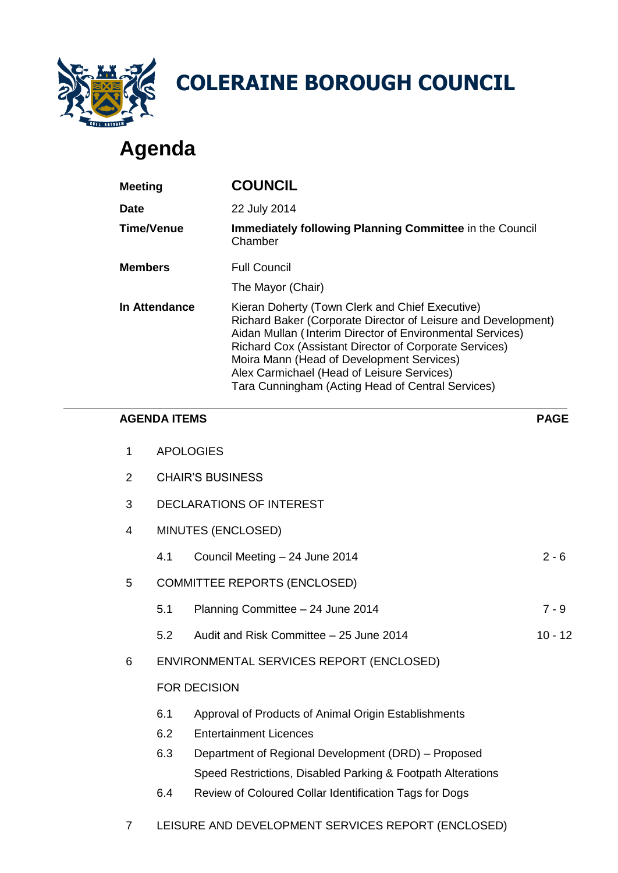

# **Agenda**

|                                        |                                                    | <b>COLERAINE BOROUGH COUNCIL</b>                                                                                                                                                                                                                          |                                                                                                                            |  |  |
|----------------------------------------|----------------------------------------------------|-----------------------------------------------------------------------------------------------------------------------------------------------------------------------------------------------------------------------------------------------------------|----------------------------------------------------------------------------------------------------------------------------|--|--|
|                                        | Agenda                                             |                                                                                                                                                                                                                                                           |                                                                                                                            |  |  |
| Meeting                                |                                                    | <b>COUNCIL</b>                                                                                                                                                                                                                                            |                                                                                                                            |  |  |
| <b>Date</b><br><b>Time/Venue</b>       |                                                    | 22 July 2014                                                                                                                                                                                                                                              |                                                                                                                            |  |  |
|                                        |                                                    | Chamber                                                                                                                                                                                                                                                   | <b>Immediately following Planning Committee in the Council</b>                                                             |  |  |
| <b>Members</b><br><b>In Attendance</b> |                                                    | <b>Full Council</b>                                                                                                                                                                                                                                       |                                                                                                                            |  |  |
|                                        |                                                    | The Mayor (Chair)                                                                                                                                                                                                                                         |                                                                                                                            |  |  |
|                                        |                                                    | Kieran Doherty (Town Clerk and Chief Executive)<br>Richard Cox (Assistant Director of Corporate Services)<br>Moira Mann (Head of Development Services)<br>Alex Carmichael (Head of Leisure Services)<br>Tara Cunningham (Acting Head of Central Services) | Richard Baker (Corporate Director of Leisure and Development)<br>Aidan Mullan (Interim Director of Environmental Services) |  |  |
|                                        | <b>AGENDA ITEMS</b>                                |                                                                                                                                                                                                                                                           | <b>PAG</b>                                                                                                                 |  |  |
| 1                                      |                                                    | <b>APOLOGIES</b>                                                                                                                                                                                                                                          |                                                                                                                            |  |  |
| $\overline{2}$                         | <b>CHAIR'S BUSINESS</b>                            |                                                                                                                                                                                                                                                           |                                                                                                                            |  |  |
| 3                                      | <b>DECLARATIONS OF INTEREST</b>                    |                                                                                                                                                                                                                                                           |                                                                                                                            |  |  |
| 4                                      |                                                    | MINUTES (ENCLOSED)                                                                                                                                                                                                                                        |                                                                                                                            |  |  |
|                                        | 4.1                                                | Council Meeting - 24 June 2014                                                                                                                                                                                                                            | $2 -$                                                                                                                      |  |  |
| 5                                      |                                                    | <b>COMMITTEE REPORTS (ENCLOSED)</b>                                                                                                                                                                                                                       |                                                                                                                            |  |  |
|                                        | 5.1                                                | Planning Committee - 24 June 2014                                                                                                                                                                                                                         | $7 -$                                                                                                                      |  |  |
|                                        | 5.2                                                | Audit and Risk Committee - 25 June 2014                                                                                                                                                                                                                   | $10 -$                                                                                                                     |  |  |
| 6                                      |                                                    | ENVIRONMENTAL SERVICES REPORT (ENCLOSED)                                                                                                                                                                                                                  |                                                                                                                            |  |  |
|                                        |                                                    | <b>FOR DECISION</b>                                                                                                                                                                                                                                       |                                                                                                                            |  |  |
|                                        | 6.1                                                | Approval of Products of Animal Origin Establishments                                                                                                                                                                                                      |                                                                                                                            |  |  |
|                                        | 6.2                                                | <b>Entertainment Licences</b>                                                                                                                                                                                                                             |                                                                                                                            |  |  |
|                                        | 6.3                                                | Department of Regional Development (DRD) - Proposed                                                                                                                                                                                                       |                                                                                                                            |  |  |
|                                        | 6.4                                                | Speed Restrictions, Disabled Parking & Footpath Alterations<br>Review of Coloured Collar Identification Tags for Dogs                                                                                                                                     |                                                                                                                            |  |  |
| 7                                      | LEISURE AND DEVELOPMENT SERVICES REPORT (ENCLOSED) |                                                                                                                                                                                                                                                           |                                                                                                                            |  |  |

# **AGENDA ITEMS PAGE**

- 5.2 Audit and Risk Committee 25 June 2014 10 12
- 6 ENVIRONMENTAL SERVICES REPORT (ENCLOSED)

### FOR DECISION

- 6.1 Approval of Products of Animal Origin Establishments
- 6.2 Entertainment Licences
- 6.3 Department of Regional Development (DRD) Proposed Speed Restrictions, Disabled Parking & Footpath Alterations
- 6.4 Review of Coloured Collar Identification Tags for Dogs
-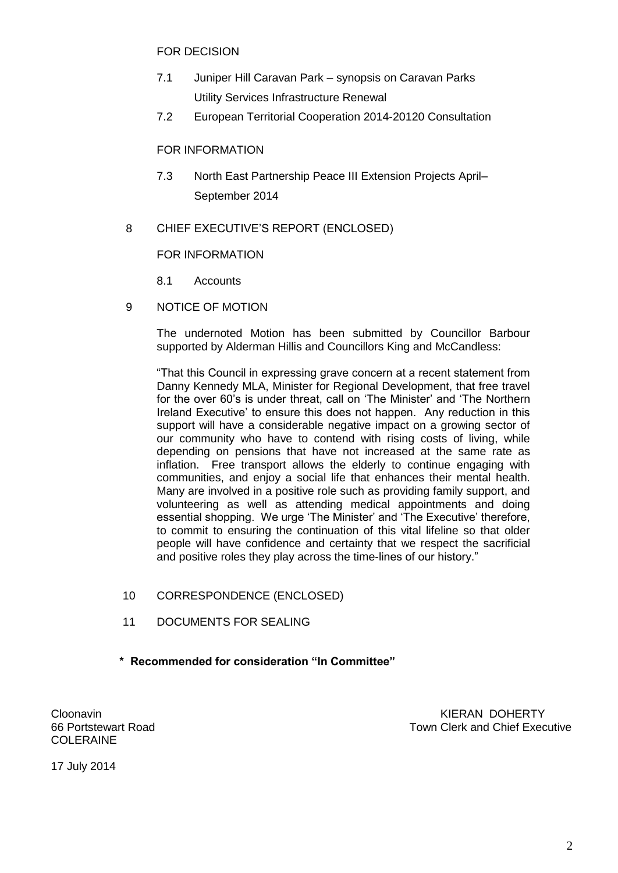FOR DECISION

- 7.1 Juniper Hill Caravan Park synopsis on Caravan Parks Utility Services Infrastructure Renewal
- 7.2 European Territorial Cooperation 2014-20120 Consultation

FOR INFORMATION

- 7.3 North East Partnership Peace III Extension Projects April– September 2014
- 8 CHIEF EXECUTIVE'S REPORT (ENCLOSED)

# FOR INFORMATION

- 8.1 Accounts
- 9 NOTICE OF MOTION

The undernoted Motion has been submitted by Councillor Barbour supported by Alderman Hillis and Councillors King and McCandless:

"That this Council in expressing grave concern at a recent statement from Danny Kennedy MLA, Minister for Regional Development, that free travel for the over 60's is under threat, call on 'The Minister' and 'The Northern Ireland Executive' to ensure this does not happen. Any reduction in this support will have a considerable negative impact on a growing sector of our community who have to contend with rising costs of living, while depending on pensions that have not increased at the same rate as inflation. Free transport allows the elderly to continue engaging with communities, and enjoy a social life that enhances their mental health. Many are involved in a positive role such as providing family support, and volunteering as well as attending medical appointments and doing essential shopping. We urge 'The Minister' and 'The Executive' therefore, to commit to ensuring the continuation of this vital lifeline so that older people will have confidence and certainty that we respect the sacrificial and positive roles they play across the time-lines of our history."

- 10 CORRESPONDENCE (ENCLOSED)
- 11 DOCUMENTS FOR SEALING
- **\* Recommended for consideration "In Committee"**

COLERAINE

Cloonavin **KIERAN DOHERTY** 66 Portstewart Road Town Clerk and Chief Executive

17 July 2014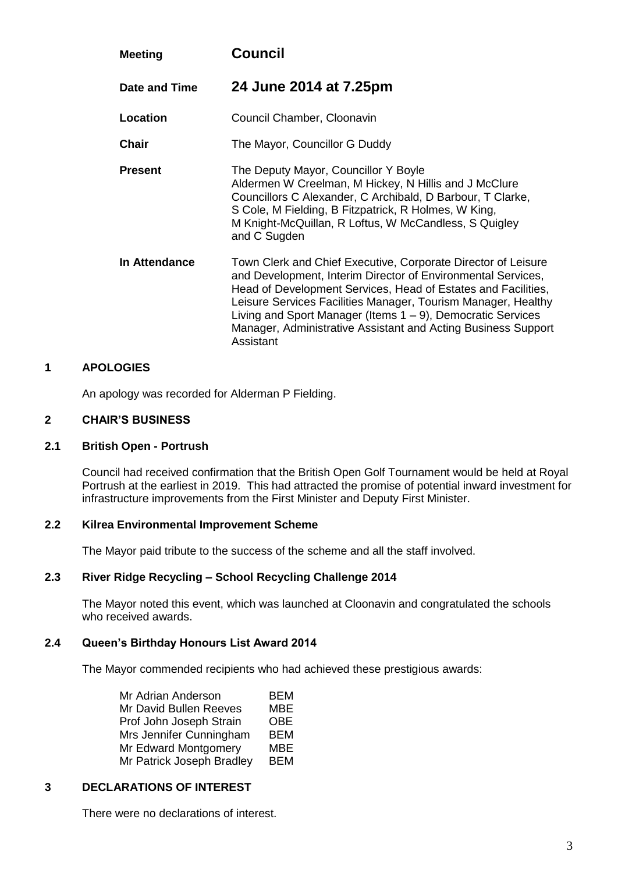| <b>Meeting</b> | Council<br>24 June 2014 at 7.25pm                                                                                                                                                                                                                                                                                                                                                                            |  |
|----------------|--------------------------------------------------------------------------------------------------------------------------------------------------------------------------------------------------------------------------------------------------------------------------------------------------------------------------------------------------------------------------------------------------------------|--|
| Date and Time  |                                                                                                                                                                                                                                                                                                                                                                                                              |  |
| Location       | Council Chamber, Cloonavin                                                                                                                                                                                                                                                                                                                                                                                   |  |
| <b>Chair</b>   | The Mayor, Councillor G Duddy                                                                                                                                                                                                                                                                                                                                                                                |  |
| <b>Present</b> | The Deputy Mayor, Councillor Y Boyle<br>Aldermen W Creelman, M Hickey, N Hillis and J McClure<br>Councillors C Alexander, C Archibald, D Barbour, T Clarke,<br>S Cole, M Fielding, B Fitzpatrick, R Holmes, W King,<br>M Knight-McQuillan, R Loftus, W McCandless, S Quigley<br>and C Sugden                                                                                                                 |  |
| In Attendance  | Town Clerk and Chief Executive, Corporate Director of Leisure<br>and Development, Interim Director of Environmental Services,<br>Head of Development Services, Head of Estates and Facilities,<br>Leisure Services Facilities Manager, Tourism Manager, Healthy<br>Living and Sport Manager (Items 1 – 9), Democratic Services<br>Manager, Administrative Assistant and Acting Business Support<br>Assistant |  |

### **1 APOLOGIES**

An apology was recorded for Alderman P Fielding.

# **2 CHAIR'S BUSINESS**

#### **2.1 British Open - Portrush**

Council had received confirmation that the British Open Golf Tournament would be held at Royal Portrush at the earliest in 2019. This had attracted the promise of potential inward investment for infrastructure improvements from the First Minister and Deputy First Minister.

#### **2.2 Kilrea Environmental Improvement Scheme**

The Mayor paid tribute to the success of the scheme and all the staff involved.

#### **2.3 River Ridge Recycling – School Recycling Challenge 2014**

The Mayor noted this event, which was launched at Cloonavin and congratulated the schools who received awards.

#### **2.4 Queen's Birthday Honours List Award 2014**

The Mayor commended recipients who had achieved these prestigious awards:

| Mr Adrian Anderson        | <b>BEM</b> |
|---------------------------|------------|
| Mr David Bullen Reeves    | <b>MBE</b> |
| Prof John Joseph Strain   | <b>OBE</b> |
| Mrs Jennifer Cunningham   | <b>BEM</b> |
| Mr Edward Montgomery      | MBE        |
| Mr Patrick Joseph Bradley | <b>BEM</b> |

### **3 DECLARATIONS OF INTEREST**

There were no declarations of interest.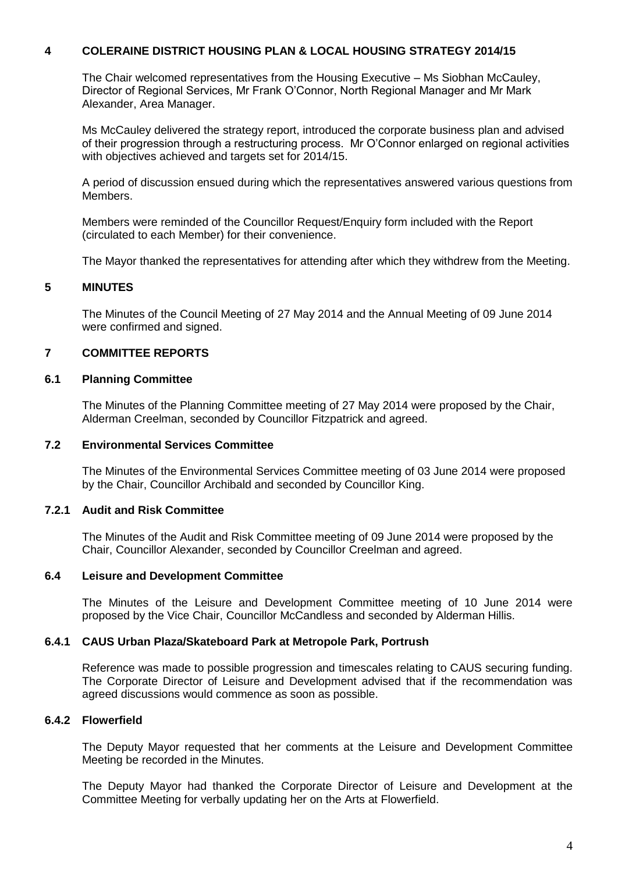# **4 COLERAINE DISTRICT HOUSING PLAN & LOCAL HOUSING STRATEGY 2014/15**

The Chair welcomed representatives from the Housing Executive – Ms Siobhan McCauley, Director of Regional Services, Mr Frank O'Connor, North Regional Manager and Mr Mark Alexander, Area Manager.

Ms McCauley delivered the strategy report, introduced the corporate business plan and advised of their progression through a restructuring process. Mr O'Connor enlarged on regional activities with objectives achieved and targets set for 2014/15.

A period of discussion ensued during which the representatives answered various questions from Members.

Members were reminded of the Councillor Request/Enquiry form included with the Report (circulated to each Member) for their convenience.

The Mayor thanked the representatives for attending after which they withdrew from the Meeting.

#### **5 MINUTES**

The Minutes of the Council Meeting of 27 May 2014 and the Annual Meeting of 09 June 2014 were confirmed and signed.

### **7 COMMITTEE REPORTS**

#### **6.1 Planning Committee**

The Minutes of the Planning Committee meeting of 27 May 2014 were proposed by the Chair, Alderman Creelman, seconded by Councillor Fitzpatrick and agreed.

### **7.2 Environmental Services Committee**

The Minutes of the Environmental Services Committee meeting of 03 June 2014 were proposed by the Chair, Councillor Archibald and seconded by Councillor King.

### **7.2.1 Audit and Risk Committee**

The Minutes of the Audit and Risk Committee meeting of 09 June 2014 were proposed by the Chair, Councillor Alexander, seconded by Councillor Creelman and agreed.

#### **6.4 Leisure and Development Committee**

The Minutes of the Leisure and Development Committee meeting of 10 June 2014 were proposed by the Vice Chair, Councillor McCandless and seconded by Alderman Hillis.

#### **6.4.1 CAUS Urban Plaza/Skateboard Park at Metropole Park, Portrush**

Reference was made to possible progression and timescales relating to CAUS securing funding. The Corporate Director of Leisure and Development advised that if the recommendation was agreed discussions would commence as soon as possible.

# **6.4.2 Flowerfield**

The Deputy Mayor requested that her comments at the Leisure and Development Committee Meeting be recorded in the Minutes.

The Deputy Mayor had thanked the Corporate Director of Leisure and Development at the Committee Meeting for verbally updating her on the Arts at Flowerfield.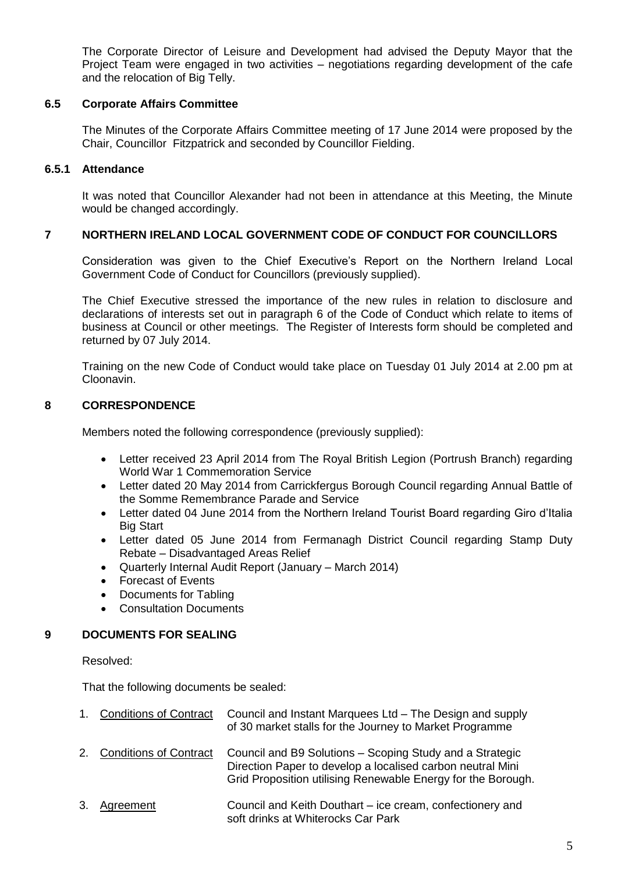The Corporate Director of Leisure and Development had advised the Deputy Mayor that the Project Team were engaged in two activities – negotiations regarding development of the cafe and the relocation of Big Telly.

### **6.5 Corporate Affairs Committee**

The Minutes of the Corporate Affairs Committee meeting of 17 June 2014 were proposed by the Chair, Councillor Fitzpatrick and seconded by Councillor Fielding.

# **6.5.1 Attendance**

It was noted that Councillor Alexander had not been in attendance at this Meeting, the Minute would be changed accordingly.

# **7 NORTHERN IRELAND LOCAL GOVERNMENT CODE OF CONDUCT FOR COUNCILLORS**

Consideration was given to the Chief Executive's Report on the Northern Ireland Local Government Code of Conduct for Councillors (previously supplied).

The Chief Executive stressed the importance of the new rules in relation to disclosure and declarations of interests set out in paragraph 6 of the Code of Conduct which relate to items of business at Council or other meetings. The Register of Interests form should be completed and returned by 07 July 2014.

Training on the new Code of Conduct would take place on Tuesday 01 July 2014 at 2.00 pm at Cloonavin.

# **8 CORRESPONDENCE**

Members noted the following correspondence (previously supplied):

- Letter received 23 April 2014 from The Royal British Legion (Portrush Branch) regarding World War 1 Commemoration Service
- Letter dated 20 May 2014 from Carrickfergus Borough Council regarding Annual Battle of the Somme Remembrance Parade and Service
- Letter dated 04 June 2014 from the Northern Ireland Tourist Board regarding Giro d'Italia Big Start
- Letter dated 05 June 2014 from Fermanagh District Council regarding Stamp Duty Rebate – Disadvantaged Areas Relief
- Quarterly Internal Audit Report (January March 2014)
- Forecast of Events
- Documents for Tabling
- Consultation Documents

# **9 DOCUMENTS FOR SEALING**

Resolved:

That the following documents be sealed:

| $1_{-}$ | <b>Conditions of Contract</b> | Council and Instant Marquees Ltd - The Design and supply<br>of 30 market stalls for the Journey to Market Programme                                                                    |
|---------|-------------------------------|----------------------------------------------------------------------------------------------------------------------------------------------------------------------------------------|
|         | 2. Conditions of Contract     | Council and B9 Solutions – Scoping Study and a Strategic<br>Direction Paper to develop a localised carbon neutral Mini<br>Grid Proposition utilising Renewable Energy for the Borough. |
| 3.      | Agreement                     | Council and Keith Douthart – ice cream, confectionery and<br>soft drinks at Whiterocks Car Park                                                                                        |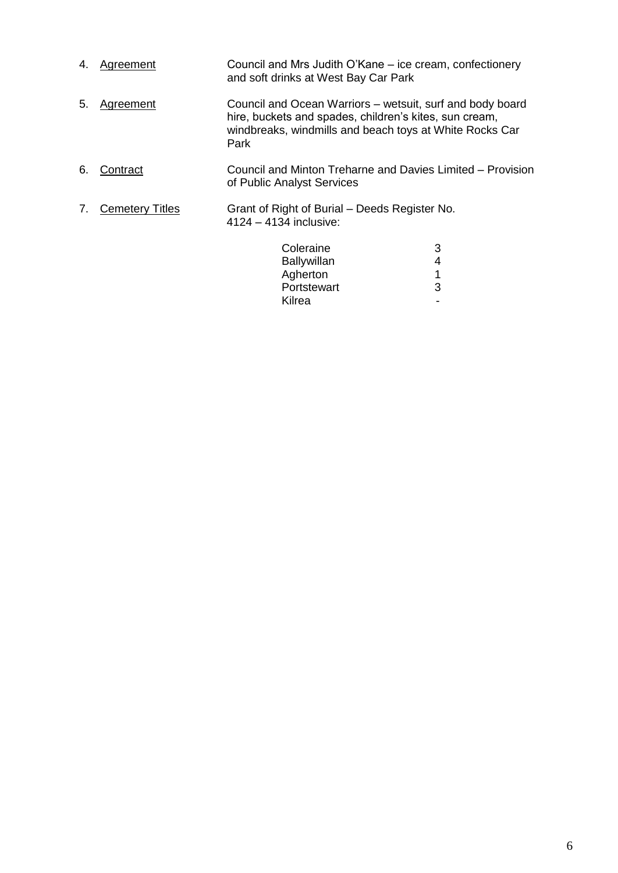| 4. | Agreement              | Council and Mrs Judith O'Kane – ice cream, confectionery<br>and soft drinks at West Bay Car Park                                                                                       |                  |  |
|----|------------------------|----------------------------------------------------------------------------------------------------------------------------------------------------------------------------------------|------------------|--|
| 5. | <b>Agreement</b>       | Council and Ocean Warriors - wetsuit, surf and body board<br>hire, buckets and spades, children's kites, sun cream,<br>windbreaks, windmills and beach toys at White Rocks Car<br>Park |                  |  |
| 6. | Contract               | Council and Minton Treharne and Davies Limited – Provision<br>of Public Analyst Services                                                                                               |                  |  |
| 7. | <b>Cemetery Titles</b> | Grant of Right of Burial – Deeds Register No.<br>4124 - 4134 inclusive:                                                                                                                |                  |  |
|    |                        | Coleraine<br><b>Ballywillan</b><br>Agherton<br>Portstewart                                                                                                                             | 3<br>4<br>1<br>3 |  |
|    |                        | Kilrea                                                                                                                                                                                 |                  |  |

Kilrea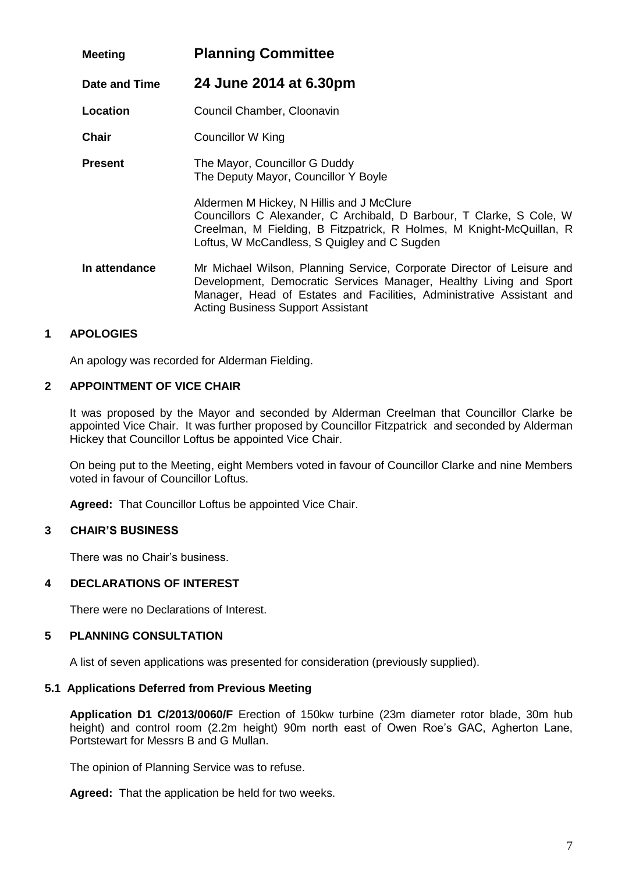| <b>Meeting</b> | <b>Planning Committee</b>                                                                                                                                                                                                                                         |  |
|----------------|-------------------------------------------------------------------------------------------------------------------------------------------------------------------------------------------------------------------------------------------------------------------|--|
| Date and Time  | 24 June 2014 at 6.30pm                                                                                                                                                                                                                                            |  |
| Location       | Council Chamber, Cloonavin                                                                                                                                                                                                                                        |  |
| Chair          | Councillor W King                                                                                                                                                                                                                                                 |  |
| <b>Present</b> | The Mayor, Councillor G Duddy<br>The Deputy Mayor, Councillor Y Boyle                                                                                                                                                                                             |  |
|                | Aldermen M Hickey, N Hillis and J McClure<br>Councillors C Alexander, C Archibald, D Barbour, T Clarke, S Cole, W<br>Creelman, M Fielding, B Fitzpatrick, R Holmes, M Knight-McQuillan, R<br>Loftus, W McCandless, S Quigley and C Sugden                         |  |
| In attendance  | Mr Michael Wilson, Planning Service, Corporate Director of Leisure and<br>Development, Democratic Services Manager, Healthy Living and Sport<br>Manager, Head of Estates and Facilities, Administrative Assistant and<br><b>Acting Business Support Assistant</b> |  |

# **1 APOLOGIES**

An apology was recorded for Alderman Fielding.

#### **2 APPOINTMENT OF VICE CHAIR**

It was proposed by the Mayor and seconded by Alderman Creelman that Councillor Clarke be appointed Vice Chair. It was further proposed by Councillor Fitzpatrick and seconded by Alderman Hickey that Councillor Loftus be appointed Vice Chair.

On being put to the Meeting, eight Members voted in favour of Councillor Clarke and nine Members voted in favour of Councillor Loftus.

**Agreed:** That Councillor Loftus be appointed Vice Chair.

### **3 CHAIR'S BUSINESS**

There was no Chair's business.

#### **4 DECLARATIONS OF INTEREST**

There were no Declarations of Interest.

#### **5 PLANNING CONSULTATION**

A list of seven applications was presented for consideration (previously supplied).

# **5.1 Applications Deferred from Previous Meeting**

**Application D1 C/2013/0060/F** Erection of 150kw turbine (23m diameter rotor blade, 30m hub height) and control room (2.2m height) 90m north east of Owen Roe's GAC, Agherton Lane, Portstewart for Messrs B and G Mullan.

The opinion of Planning Service was to refuse.

**Agreed:** That the application be held for two weeks.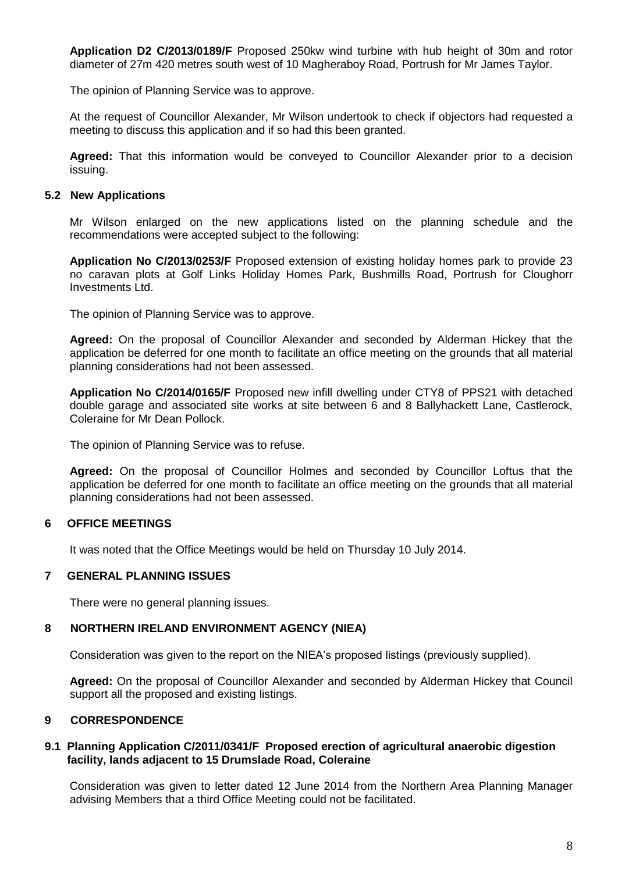**Application D2 C/2013/0189/F** Proposed 250kw wind turbine with hub height of 30m and rotor diameter of 27m 420 metres south west of 10 Magheraboy Road, Portrush for Mr James Taylor.

The opinion of Planning Service was to approve.

At the request of Councillor Alexander, Mr Wilson undertook to check if objectors had requested a meeting to discuss this application and if so had this been granted.

**Agreed:** That this information would be conveyed to Councillor Alexander prior to a decision issuing.

#### **5.2 New Applications**

Mr Wilson enlarged on the new applications listed on the planning schedule and the recommendations were accepted subject to the following:

**Application No C/2013/0253/F** Proposed extension of existing holiday homes park to provide 23 no caravan plots at Golf Links Holiday Homes Park, Bushmills Road, Portrush for Cloughorr Investments Ltd.

The opinion of Planning Service was to approve.

**Agreed:** On the proposal of Councillor Alexander and seconded by Alderman Hickey that the application be deferred for one month to facilitate an office meeting on the grounds that all material planning considerations had not been assessed.

**Application No C/2014/0165/F** Proposed new infill dwelling under CTY8 of PPS21 with detached double garage and associated site works at site between 6 and 8 Ballyhackett Lane, Castlerock, Coleraine for Mr Dean Pollock.

The opinion of Planning Service was to refuse.

**Agreed:** On the proposal of Councillor Holmes and seconded by Councillor Loftus that the application be deferred for one month to facilitate an office meeting on the grounds that all material planning considerations had not been assessed.

### **6 OFFICE MEETINGS**

It was noted that the Office Meetings would be held on Thursday 10 July 2014.

#### **7 GENERAL PLANNING ISSUES**

There were no general planning issues.

#### **8 NORTHERN IRELAND ENVIRONMENT AGENCY (NIEA)**

Consideration was given to the report on the NIEA's proposed listings (previously supplied).

**Agreed:** On the proposal of Councillor Alexander and seconded by Alderman Hickey that Council support all the proposed and existing listings.

# **9 CORRESPONDENCE**

#### **9.1 Planning Application C/2011/0341/F Proposed erection of agricultural anaerobic digestion facility, lands adjacent to 15 Drumslade Road, Coleraine**

Consideration was given to letter dated 12 June 2014 from the Northern Area Planning Manager advising Members that a third Office Meeting could not be facilitated.